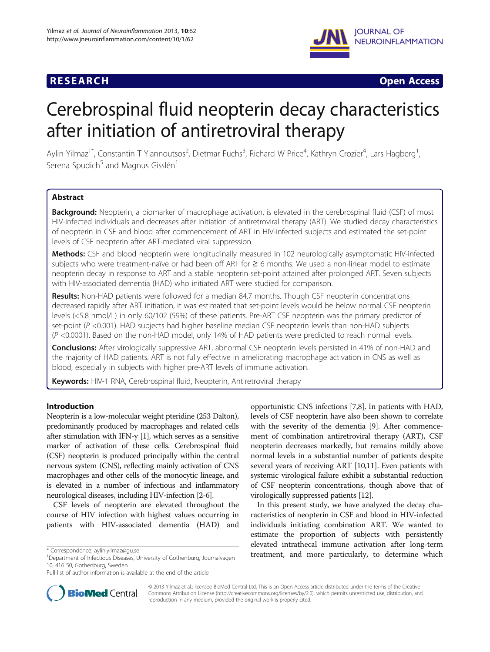# **RESEARCH CHINESE ARCH CHINESE ARCH CHINESE ARCH <b>CHINESE ARCH**



# Cerebrospinal fluid neopterin decay characteristics after initiation of antiretroviral therapy

Aylin Yilmaz<sup>1\*</sup>, Constantin T Yiannoutsos<sup>2</sup>, Dietmar Fuchs<sup>3</sup>, Richard W Price<sup>4</sup>, Kathryn Crozier<sup>4</sup>, Lars Hagberg<sup>1</sup> , Serena Spudich<sup>5</sup> and Magnus Gisslén<sup>1</sup>

# Abstract

Background: Neopterin, a biomarker of macrophage activation, is elevated in the cerebrospinal fluid (CSF) of most HIV-infected individuals and decreases after initiation of antiretroviral therapy (ART). We studied decay characteristics of neopterin in CSF and blood after commencement of ART in HIV-infected subjects and estimated the set-point levels of CSF neopterin after ART-mediated viral suppression.

Methods: CSF and blood neopterin were longitudinally measured in 102 neurologically asymptomatic HIV-infected subjects who were treatment-naïve or had been off ART for ≥ 6 months. We used a non-linear model to estimate neopterin decay in response to ART and a stable neopterin set-point attained after prolonged ART. Seven subjects with HIV-associated dementia (HAD) who initiated ART were studied for comparison.

Results: Non-HAD patients were followed for a median 84.7 months. Though CSF neopterin concentrations decreased rapidly after ART initiation, it was estimated that set-point levels would be below normal CSF neopterin levels (<5.8 nmol/L) in only 60/102 (59%) of these patients. Pre-ART CSF neopterin was the primary predictor of set-point  $(P \le 0.001)$ . HAD subjects had higher baseline median CSF neopterin levels than non-HAD subjects  $(P < 0.0001)$ . Based on the non-HAD model, only 14% of HAD patients were predicted to reach normal levels.

Conclusions: After virologically suppressive ART, abnormal CSF neopterin levels persisted in 41% of non-HAD and the majority of HAD patients. ART is not fully effective in ameliorating macrophage activation in CNS as well as blood, especially in subjects with higher pre-ART levels of immune activation.

Keywords: HIV-1 RNA, Cerebrospinal fluid, Neopterin, Antiretroviral therapy

# Introduction

Neopterin is a low-molecular weight pteridine (253 Dalton), predominantly produced by macrophages and related cells after stimulation with IFN- $\gamma$  [[1](#page-5-0)], which serves as a sensitive marker of activation of these cells. Cerebrospinal fluid (CSF) neopterin is produced principally within the central nervous system (CNS), reflecting mainly activation of CNS macrophages and other cells of the monocytic lineage, and is elevated in a number of infectious and inflammatory neurological diseases, including HIV-infection [\[2-6\]](#page-5-0).

CSF levels of neopterin are elevated throughout the course of HIV infection with highest values occurring in patients with HIV-associated dementia (HAD) and

opportunistic CNS infections [\[7,8](#page-5-0)]. In patients with HAD, levels of CSF neopterin have also been shown to correlate with the severity of the dementia [[9\]](#page-5-0). After commencement of combination antiretroviral therapy (ART), CSF neopterin decreases markedly, but remains mildly above normal levels in a substantial number of patients despite several years of receiving ART [\[10,11](#page-5-0)]. Even patients with systemic virological failure exhibit a substantial reduction of CSF neopterin concentrations, though above that of virologically suppressed patients [\[12\]](#page-5-0).

In this present study, we have analyzed the decay characteristics of neopterin in CSF and blood in HIV-infected individuals initiating combination ART. We wanted to estimate the proportion of subjects with persistently elevated intrathecal immune activation after long-term \* Correspondence: [aylin.yilmaz@gu.se](mailto:aylin.yilmaz@gu.se)<br><sup>1</sup>Department of Infectious Diseases University of Gothenburg Journalyagen **treatment, and more particularly, to determine which** 



© 2013 Yilmaz et al.; licensee BioMed Central Ltd. This is an Open Access article distributed under the terms of the Creative Commons Attribution License [\(http://creativecommons.org/licenses/by/2.0\)](http://creativecommons.org/licenses/by/2.0), which permits unrestricted use, distribution, and reproduction in any medium, provided the original work is properly cited.

<sup>&</sup>lt;sup>1</sup>Department of Infectious Diseases, University of Gothenburg, Journalvagen 10, 416 50, Gothenburg, Sweden

Full list of author information is available at the end of the article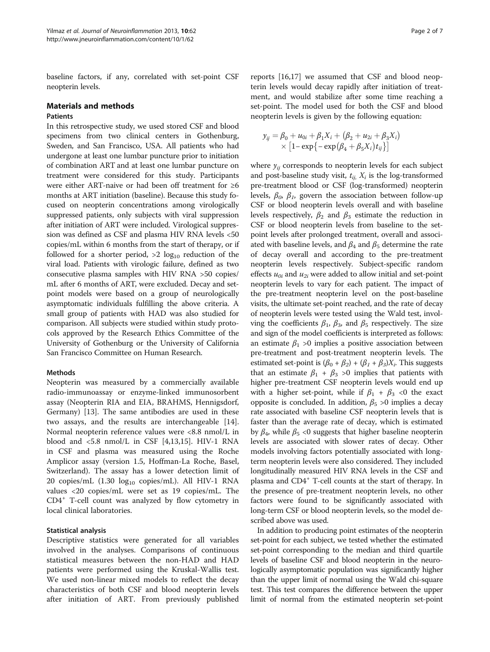<span id="page-1-0"></span>baseline factors, if any, correlated with set-point CSF neopterin levels.

#### Materials and methods **Patients**

In this retrospective study, we used stored CSF and blood specimens from two clinical centers in Gothenburg, Sweden, and San Francisco, USA. All patients who had undergone at least one lumbar puncture prior to initiation of combination ART and at least one lumbar puncture on treatment were considered for this study. Participants were either ART-naive or had been off treatment for ≥6 months at ART initiation (baseline). Because this study focused on neopterin concentrations among virologically suppressed patients, only subjects with viral suppression after initiation of ART were included. Virological suppression was defined as CSF and plasma HIV RNA levels <50 copies/mL within 6 months from the start of therapy, or if followed for a shorter period,  $>2$  log<sub>10</sub> reduction of the viral load. Patients with virologic failure, defined as two consecutive plasma samples with HIV RNA >50 copies/ mL after 6 months of ART, were excluded. Decay and setpoint models were based on a group of neurologically asymptomatic individuals fulfilling the above criteria. A small group of patients with HAD was also studied for comparison. All subjects were studied within study protocols approved by the Research Ethics Committee of the University of Gothenburg or the University of California San Francisco Committee on Human Research.

# Methods

Neopterin was measured by a commercially available radio-immunoassay or enzyme-linked immunosorbent assay (Neopterin RIA and EIA, BRAHMS, Hennigsdorf, Germany) [\[13](#page-5-0)]. The same antibodies are used in these two assays, and the results are interchangeable [\[14](#page-5-0)]. Normal neopterin reference values were <8.8 nmol/L in blood and <5.8 nmol/L in CSF [\[4,13,15](#page-5-0)]. HIV-1 RNA in CSF and plasma was measured using the Roche Amplicor assay (version 1.5, Hoffman-La Roche, Basel, Switzerland). The assay has a lower detection limit of 20 copies/mL  $(1.30 \text{log}_{10} \text{ copies/mL})$ . All HIV-1 RNA values <20 copies/mL were set as 19 copies/mL. The CD4<sup>+</sup> T-cell count was analyzed by flow cytometry in local clinical laboratories.

# Statistical analysis

Descriptive statistics were generated for all variables involved in the analyses. Comparisons of continuous statistical measures between the non-HAD and HAD patients were performed using the Kruskal-Wallis test. We used non-linear mixed models to reflect the decay characteristics of both CSF and blood neopterin levels after initiation of ART. From previously published

reports [[16,17](#page-5-0)] we assumed that CSF and blood neopterin levels would decay rapidly after initiation of treatment, and would stabilize after some time reaching a set-point. The model used for both the CSF and blood neopterin levels is given by the following equation:

$$
y_{ij} = \beta_0 + u_{0i} + \beta_1 X_i + (\beta_2 + u_{2i} + \beta_3 X_i) \times [1 - \exp{-\exp(\beta_4 + \beta_5 X_i)t_{ij}}]
$$

where  $y_{ij}$  corresponds to neopterin levels for each subject and post-baseline study visit,  $t_{ij}$ ,  $X_i$  is the log-transformed pre-treatment blood or CSF (log-transformed) neopterin levels,  $β<sub>0</sub>$ ,  $β<sub>1</sub>$ , govern the association between follow-up CSF or blood neopterin levels overall and with baseline levels respectively,  $\beta_2$  and  $\beta_3$  estimate the reduction in CSF or blood neopterin levels from baseline to the setpoint levels after prolonged treatment, overall and associated with baseline levels, and  $\beta_4$  and  $\beta_5$  determine the rate of decay overall and according to the pre-treatment neopterin levels respectively. Subject-specific random effects  $u_{0i}$  and  $u_{2i}$  were added to allow initial and set-point neopterin levels to vary for each patient. The impact of the pre-treatment neopterin level on the post-baseline visits, the ultimate set-point reached, and the rate of decay of neopterin levels were tested using the Wald test, involving the coefficients  $β_1$ ,  $β_3$ , and  $β_5$  respectively. The size and sign of the model coefficients is interpreted as follows: an estimate  $\beta_1 > 0$  implies a positive association between pre-treatment and post-treatment neopterin levels. The estimated set-point is  $(\beta_0 + \beta_2) + (\beta_1 + \beta_3)X_i$ . This suggests that an estimate  $\beta_1 + \beta_3 > 0$  implies that patients with higher pre-treatment CSF neopterin levels would end up with a higher set-point, while if  $\beta_1 + \beta_3$  <0 the exact opposite is concluded. In addition,  $\beta_5 > 0$  implies a decay rate associated with baseline CSF neopterin levels that is faster than the average rate of decay, which is estimated by  $\beta_4$ , while  $\beta_5$  <0 suggests that higher baseline neopterin levels are associated with slower rates of decay. Other models involving factors potentially associated with longterm neopterin levels were also considered. They included longitudinally measured HIV RNA levels in the CSF and plasma and CD4<sup>+</sup> T-cell counts at the start of therapy. In the presence of pre-treatment neopterin levels, no other factors were found to be significantly associated with long-term CSF or blood neopterin levels, so the model described above was used.

In addition to producing point estimates of the neopterin set-point for each subject, we tested whether the estimated set-point corresponding to the median and third quartile levels of baseline CSF and blood neopterin in the neurologically asymptomatic population was significantly higher than the upper limit of normal using the Wald chi-square test. This test compares the difference between the upper limit of normal from the estimated neopterin set-point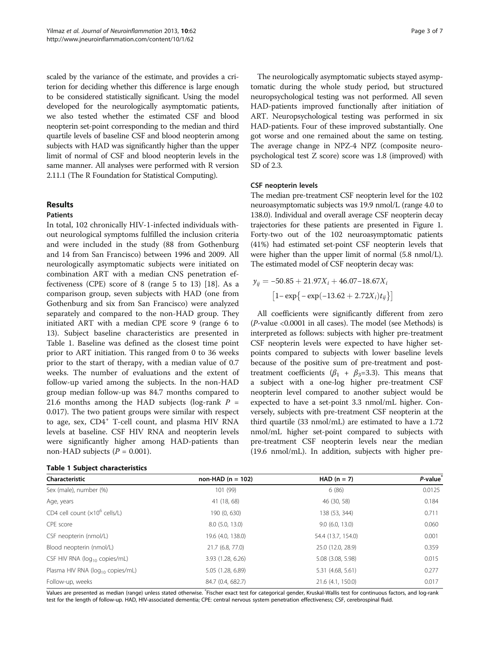<span id="page-2-0"></span>scaled by the variance of the estimate, and provides a criterion for deciding whether this difference is large enough to be considered statistically significant. Using the model developed for the neurologically asymptomatic patients, we also tested whether the estimated CSF and blood neopterin set-point corresponding to the median and third quartile levels of baseline CSF and blood neopterin among subjects with HAD was significantly higher than the upper limit of normal of CSF and blood neopterin levels in the same manner. All analyses were performed with R version 2.11.1 (The R Foundation for Statistical Computing).

# Results

## Patients

In total, 102 chronically HIV-1-infected individuals without neurological symptoms fulfilled the inclusion criteria and were included in the study (88 from Gothenburg and 14 from San Francisco) between 1996 and 2009. All neurologically asymptomatic subjects were initiated on combination ART with a median CNS penetration effectiveness (CPE) score of 8 (range 5 to 13) [[18\]](#page-5-0). As a comparison group, seven subjects with HAD (one from Gothenburg and six from San Francisco) were analyzed separately and compared to the non-HAD group. They initiated ART with a median CPE score 9 (range 6 to 13). Subject baseline characteristics are presented in Table 1. Baseline was defined as the closest time point prior to ART initiation. This ranged from 0 to 36 weeks prior to the start of therapy, with a median value of 0.7 weeks. The number of evaluations and the extent of follow-up varied among the subjects. In the non-HAD group median follow-up was 84.7 months compared to 21.6 months among the HAD subjects (log-rank  $P =$ 0.017). The two patient groups were similar with respect to age, sex, CD4<sup>+</sup> T-cell count, and plasma HIV RNA levels at baseline. CSF HIV RNA and neopterin levels were significantly higher among HAD-patients than non-HAD subjects  $(P = 0.001)$ .

| <b>Table 1 Subject characteristics</b> |  |  |
|----------------------------------------|--|--|
|----------------------------------------|--|--|

The neurologically asymptomatic subjects stayed asymptomatic during the whole study period, but structured neuropsychological testing was not performed. All seven HAD-patients improved functionally after initiation of ART. Neuropsychological testing was performed in six HAD-patients. Four of these improved substantially. One got worse and one remained about the same on testing. The average change in NPZ-4 NPZ (composite neuropsychological test Z score) score was 1.8 (improved) with SD of 2.3.

#### CSF neopterin levels

The median pre-treatment CSF neopterin level for the 102 neuroasymptomatic subjects was 19.9 nmol/L (range 4.0 to 138.0). Individual and overall average CSF neopterin decay trajectories for these patients are presented in Figure [1](#page-3-0). Forty-two out of the 102 neuroasymptomatic patients (41%) had estimated set-point CSF neopterin levels that were higher than the upper limit of normal (5.8 nmol/L). The estimated model of CSF neopterin decay was:

$$
y_{ij} = -50.85 + 21.97X_i + 46.07 - 18.67X_i
$$

$$
\left[1 - \exp\{-\exp(-13.62 + 2.72X_i)t_{ij}\}\right]
$$

All coefficients were significantly different from zero (P-value <0.0001 in all cases). The model (see [Methods\) is](#page-1-0) [interpreted as follows: subjects with higher pre-treatment](#page-1-0) [CSF neopterin levels were expected to have higher set](#page-1-0)[points compared to subjects with lower baseline levels](#page-1-0) [because of the positive sum of pre-treatment and post](#page-1-0)[treatment coefficients \(](#page-1-0) $\beta_1$  [+](#page-1-0)  $\beta_3$ [=3.3\). This means that](#page-1-0) [a subject with a one-log higher pre-treatment CSF](#page-1-0) [neopterin level compared to another subject would be](#page-1-0) [expected to have a set-point 3.3 nmol/mL higher. Con](#page-1-0)[versely, subjects with pre-treatment CSF neopterin at the](#page-1-0) [third quartile \(33 nmol/mL\) are estimated to have a 1.72](#page-1-0) [nmol/mL higher set-point compared to subjects with](#page-1-0) [pre-treatment CSF neopterin levels near the median](#page-1-0) [\(19.6 nmol/mL\). In addition, subjects with higher pre-](#page-1-0)

| Characteristic                               | non-HAD ( $n = 102$ ) | $HAD (n = 7)$      | P-value <sup>*</sup> |
|----------------------------------------------|-----------------------|--------------------|----------------------|
| Sex (male), number (%)                       | 101 (99)              | 6(86)              | 0.0125               |
| Age, years                                   | 41 (18, 68)           | 46 (30, 58)        | 0.184                |
| CD4 cell count $(x10^6 \text{ cells/L})$     | 190 (0, 630)          | 138 (53, 344)      | 0.711                |
| CPE score                                    | $8.0$ (5.0, 13.0)     | 9.0(6.0, 13.0)     | 0.060                |
| CSF neopterin (nmol/L)                       | 19.6 (4.0, 138.0)     | 54.4 (13.7, 154.0) | 0.001                |
| Blood neopterin (nmol/L)                     | 21.7 (6.8, 77.0)      | 25.0 (12.0, 28.9)  | 0.359                |
| CSF HIV RNA ( $log_{10}$ copies/mL)          | 3.93 (1.28, 6.26)     | 5.08 (3.08, 5.98)  | 0.015                |
| Plasma HIV RNA (log <sub>10</sub> copies/mL) | 5.05 (1.28, 6.89)     | 5.31 (4.68, 5.61)  | 0.277                |
| Follow-up, weeks                             | 84.7 (0.4, 682.7)     | 21.6 (4.1, 150.0)  | 0.017                |

Values are presented as median (range) unless stated otherwise. "Fischer exact test for categorical gender, Kruskal-Wallis test for continuous factors, and log-rank test for the length of follow-up. HAD, HIV-associated dementia; CPE: central nervous system penetration effectiveness; CSF, cerebrospinal fluid.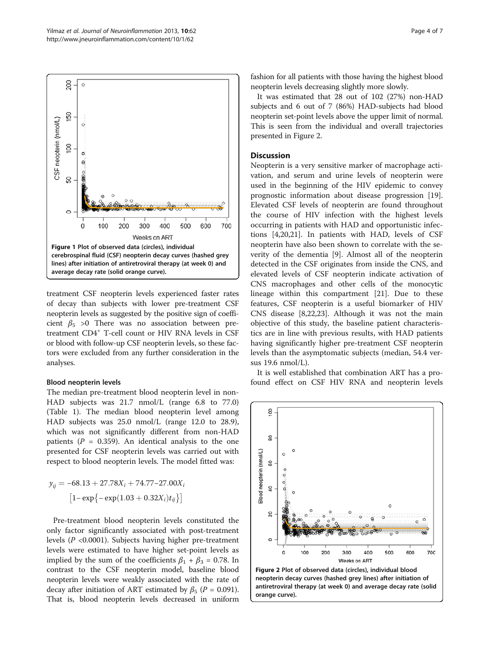<span id="page-3-0"></span>

[treatment CSF neopterin levels experienced faster rates](#page-1-0) [of decay than subjects with lower pre-treatment CSF](#page-1-0) [neopterin levels as suggested by the positive sign of coeffi](#page-1-0)[cient](#page-1-0)  $\beta_5 > 0$  There was no association between pre[treatment](#page-1-0) [CD4+](#page-1-0) [T-cell count or HIV RNA levels in CSF](#page-1-0) [or blood with follow-up CSF neopterin levels, so these fac](#page-1-0)[tors were excluded from any further consideration in the](#page-1-0) [analyses.](#page-1-0)

## Blood neopterin levels

The median pre-treatment blood neopterin level in non-HAD subjects was 21.7 nmol/L (range 6.8 to 77.0) (Table [1](#page-2-0)). The median blood neopterin level among HAD subjects was 25.0 nmol/L (range 12.0 to 28.9), which was not significantly different from non-HAD patients ( $P = 0.359$ ). An identical analysis to the one presented for CSF neopterin levels was carried out with respect to blood neopterin levels. The model fitted was:

$$
y_{ij} = -68.13 + 27.78X_i + 74.77 - 27.00X_i
$$

$$
\left[1 - \exp\{-\exp(1.03 + 0.32X_i)t_{ij}\}\right]
$$

Pre-treatment blood neopterin levels constituted the only factor significantly associated with post-treatment levels (P <0.0001). Subjects having higher pre-treatment levels were estimated to have higher set-point levels as implied by the sum of the coefficients  $\beta_1 + \beta_3 = 0.78$ . In contrast to the CSF neopterin model, baseline blood neopterin levels were weakly associated with the rate of decay after initiation of ART estimated by  $\beta_5$  (P = 0.091). That is, blood neopterin levels decreased in uniform fashion for all patients with those having the highest blood neopterin levels decreasing slightly more slowly.

It was estimated that 28 out of 102 (27%) non-HAD subjects and 6 out of 7 (86%) HAD-subjects had blood neopterin set-point levels above the upper limit of normal. This is seen from the individual and overall trajectories presented in Figure 2.

#### **Discussion**

Neopterin is a very sensitive marker of macrophage activation, and serum and urine levels of neopterin were used in the beginning of the HIV epidemic to convey prognostic information about disease progression [\[19](#page-5-0)]. Elevated CSF levels of neopterin are found throughout the course of HIV infection with the highest levels occurring in patients with HAD and opportunistic infections [[4,20,21\]](#page-5-0). In patients with HAD, levels of CSF neopterin have also been shown to correlate with the severity of the dementia [[9\]](#page-5-0). Almost all of the neopterin detected in the CSF originates from inside the CNS, and elevated levels of CSF neopterin indicate activation of CNS macrophages and other cells of the monocytic lineage within this compartment [[21\]](#page-5-0). Due to these features, CSF neopterin is a useful biomarker of HIV CNS disease [\[8,22,23](#page-5-0)]. Although it was not the main objective of this study, the baseline patient characteristics are in line with previous results, with HAD patients having significantly higher pre-treatment CSF neopterin levels than the asymptomatic subjects (median, 54.4 versus 19.6 nmol/L).

It is well established that combination ART has a profound effect on CSF HIV RNA and neopterin levels

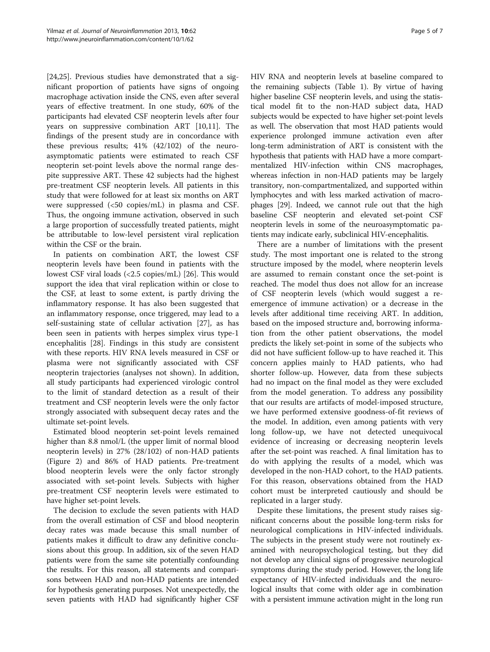[[24,25\]](#page-5-0). Previous studies have demonstrated that a significant proportion of patients have signs of ongoing macrophage activation inside the CNS, even after several years of effective treatment. In one study, 60% of the participants had elevated CSF neopterin levels after four years on suppressive combination ART [[10,11\]](#page-5-0). The findings of the present study are in concordance with these previous results; 41% (42/102) of the neuroasymptomatic patients were estimated to reach CSF neopterin set-point levels above the normal range despite suppressive ART. These 42 subjects had the highest pre-treatment CSF neopterin levels. All patients in this study that were followed for at least six months on ART were suppressed (<50 copies/mL) in plasma and CSF. Thus, the ongoing immune activation, observed in such a large proportion of successfully treated patients, might be attributable to low-level persistent viral replication within the CSF or the brain.

In patients on combination ART, the lowest CSF neopterin levels have been found in patients with the lowest CSF viral loads (<2.5 copies/mL) [\[26\]](#page-5-0). This would support the idea that viral replication within or close to the CSF, at least to some extent, is partly driving the inflammatory response. It has also been suggested that an inflammatory response, once triggered, may lead to a self-sustaining state of cellular activation [\[27](#page-5-0)], as has been seen in patients with herpes simplex virus type-1 encephalitis [[28\]](#page-6-0). Findings in this study are consistent with these reports. HIV RNA levels measured in CSF or plasma were not significantly associated with CSF neopterin trajectories (analyses not shown). In addition, all study participants had experienced virologic control to the limit of standard detection as a result of their treatment and CSF neopterin levels were the only factor strongly associated with subsequent decay rates and the ultimate set-point levels.

Estimated blood neopterin set-point levels remained higher than 8.8 nmol/L (the upper limit of normal blood neopterin levels) in 27% (28/102) of non-HAD patients (Figure [2\)](#page-3-0) and 86% of HAD patients. Pre-treatment blood neopterin levels were the only factor strongly associated with set-point levels. Subjects with higher pre-treatment CSF neopterin levels were estimated to have higher set-point levels.

The decision to exclude the seven patients with HAD from the overall estimation of CSF and blood neopterin decay rates was made because this small number of patients makes it difficult to draw any definitive conclusions about this group. In addition, six of the seven HAD patients were from the same site potentially confounding the results. For this reason, all statements and comparisons between HAD and non-HAD patients are intended for hypothesis generating purposes. Not unexpectedly, the seven patients with HAD had significantly higher CSF HIV RNA and neopterin levels at baseline compared to the remaining subjects (Table [1\)](#page-2-0). By virtue of having higher baseline CSF neopterin levels, and using the statistical model fit to the non-HAD subject data, HAD subjects would be expected to have higher set-point levels as well. The observation that most HAD patients would experience prolonged immune activation even after long-term administration of ART is consistent with the hypothesis that patients with HAD have a more compartmentalized HIV-infection within CNS macrophages, whereas infection in non-HAD patients may be largely transitory, non-compartmentalized, and supported within lymphocytes and with less marked activation of macrophages [\[29\]](#page-6-0). Indeed, we cannot rule out that the high baseline CSF neopterin and elevated set-point CSF neopterin levels in some of the neuroasymptomatic patients may indicate early, subclinical HIV-encephalitis.

There are a number of limitations with the present study. The most important one is related to the strong structure imposed by the model, where neopterin levels are assumed to remain constant once the set-point is reached. The model thus does not allow for an increase of CSF neopterin levels (which would suggest a reemergence of immune activation) or a decrease in the levels after additional time receiving ART. In addition, based on the imposed structure and, borrowing information from the other patient observations, the model predicts the likely set-point in some of the subjects who did not have sufficient follow-up to have reached it. This concern applies mainly to HAD patients, who had shorter follow-up. However, data from these subjects had no impact on the final model as they were excluded from the model generation. To address any possibility that our results are artifacts of model-imposed structure, we have performed extensive goodness-of-fit reviews of the model. In addition, even among patients with very long follow-up, we have not detected unequivocal evidence of increasing or decreasing neopterin levels after the set-point was reached. A final limitation has to do with applying the results of a model, which was developed in the non-HAD cohort, to the HAD patients. For this reason, observations obtained from the HAD cohort must be interpreted cautiously and should be replicated in a larger study.

Despite these limitations, the present study raises significant concerns about the possible long-term risks for neurological complications in HIV-infected individuals. The subjects in the present study were not routinely examined with neuropsychological testing, but they did not develop any clinical signs of progressive neurological symptoms during the study period. However, the long life expectancy of HIV-infected individuals and the neurological insults that come with older age in combination with a persistent immune activation might in the long run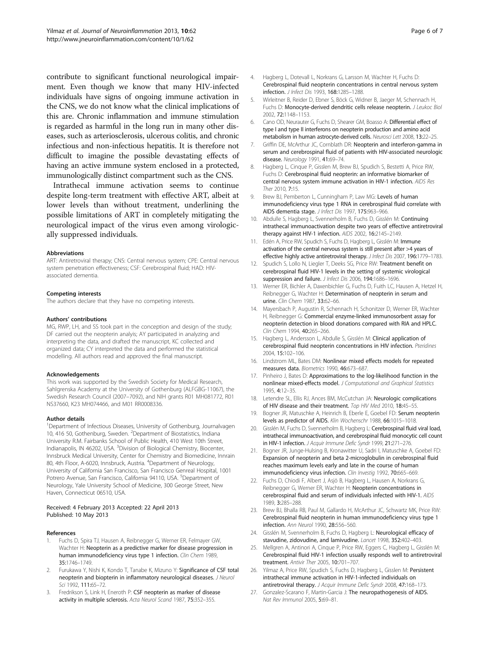<span id="page-5-0"></span>contribute to significant functional neurological impairment. Even though we know that many HIV-infected individuals have signs of ongoing immune activation in the CNS, we do not know what the clinical implications of this are. Chronic inflammation and immune stimulation is regarded as harmful in the long run in many other diseases, such as arteriosclerosis, ulcerous colitis, and chronic infectious and non-infectious hepatitis. It is therefore not difficult to imagine the possible devastating effects of having an active immune system enclosed in a protected, immunologically distinct compartment such as the CNS.

Intrathecal immune activation seems to continue despite long-term treatment with effective ART, albeit at lower levels than without treatment, underlining the possible limitations of ART in completely mitigating the neurological impact of the virus even among virologically suppressed individuals.

#### Abbreviations

ART: Antiretroviral therapy; CNS: Central nervous system; CPE: Central nervous system penetration effectiveness; CSF: Cerebrospinal fluid; HAD: HIVassociated dementia.

#### Competing interests

The authors declare that they have no competing interests.

#### Authors' contributions

MG, RWP, LH, and SS took part in the conception and design of the study: DF carried out the neopterin analyis; AY participated in analyzing and interpreting the data, and drafted the manuscript, KC collected and organized data; CY interpreted the data and performed the statistical modelling. All authors read and approved the final manuscript.

#### Acknowledgements

This work was supported by the Swedish Society for Medical Research, Sahlgrenska Academy at the University of Gothenburg (ALFGBG-11067), the Swedish Research Council (2007–7092), and NIH grants R01 MH081772, R01 NS37660, K23 MH074466, and M01 RR0008336.

#### Author details

<sup>1</sup>Department of Infectious Diseases, University of Gothenburg, Journalvagen 10, 416 50, Gothenburg, Sweden. <sup>2</sup>Department of Biostatistics, Indiana University R.M. Fairbanks School of Public Health, 410 West 10th Street, Indianapolis, IN 46202, USA. <sup>3</sup> Division of Biological Chemistry, Biocenter, Innsbruck Medical University, Center for Chemistry and Biomedicine, Innrain 80, 4th Floor, A-6020, Innsbruck, Austria. <sup>4</sup>Department of Neurology, University of California San Francisco, San Francisco Genreal Hospital, 1001 Potrero Avenue, San Francisco, California 94110, USA. <sup>5</sup>Department of Neurology, Yale University School of Medicine, 300 George Street, New Haven, Connecticut 06510, USA.

#### Received: 4 February 2013 Accepted: 22 April 2013 Published: 10 May 2013

#### References

- 1. Fuchs D, Spira TJ, Hausen A, Reibnegger G, Werner ER, Felmayer GW, Wachter H: Neopterin as a predictive marker for disease progression in human immunodeficiency virus type 1 infection. Clin Chem 1989, 35:1746–1749.
- 2. Furukawa Y, Nishi K, Kondo T, Tanabe K, Mizuno Y: Significance of CSF total neopterin and biopterin in inflammatory neurological diseases. J Neurol Sci 1992, 111:65–72.
- 3. Fredrikson S, Link H, Eneroth P: CSF neopterin as marker of disease activity in multiple sclerosis. Acta Neurol Scand 1987, 75:352–355.
- 4. Hagberg L, Dotevall L, Norkrans G, Larsson M, Wachter H, Fuchs D: Cerebrospinal fluid neopterin concentrations in central nervous system infection. J Infect Dis 1993, 168:1285–1288.
- 5. Wirleitner B, Reider D, Ebner S, Böck G, Widner B, Jaeger M, Schennach H, Fuchs D: Monocyte-derived dendritic cells release neopterin. J Leukoc Biol 2002, 72:1148–1153.
- 6. Cano OD, Neurauter G, Fuchs D, Shearer GM, Boasso A: Differential effect of type I and type II interferons on neopterin production and amino acid metabolism in human astrocyte-derived cells. Neurosci Lett 2008, 13:22–25.
- 7. Griffin DE, McArthur JC, Cornblath DR: Neopterin and interferon-gamma in serum and cerebrospinal fluid of patients with HIV-associated neurologic disease. Neurology 1991, 41:69–74.
- 8. Hagberg L, Cinque P, Gisslen M, Brew BJ, Spudich S, Bestetti A, Price RW, Fuchs D: Cerebrospinal fluid neopterin: an informative biomarker of central nervous system immune activation in HIV-1 infection. AIDS Res Ther 2010, 7:15.
- 9. Brew BJ, Pemberton L, Cunningham P, Law MG: Levels of human immunodeficiency virus type 1 RNA in cerebrospinal fluid correlate with AIDS dementia stage. J Infect Dis 1997, 175:963–966.
- 10. Abdulle S, Hagberg L, Svennerholm B, Fuchs D, Gisslén M: Continuing intrathecal immunoactivation despite two years of effective antiretroviral therapy against HIV-1 infection. AIDS 2002, 16:2145–2149.
- 11. Edén A, Price RW, Spudich S, Fuchs D, Hagberg L, Gisslén M: Immune activation of the central nervous system is still present after >4 years of effective highly active antiretroviral therapy. J Infect Dis 2007, 196:1779-1783.
- 12. Spudich S, Lollo N, Liegler T, Deeks SG, Price RW: Treatment benefit on cerebrospinal fluid HIV-1 levels in the setting of systemic virological suppression and failure. J Infect Dis 2006, 194:1686-1696.
- 13. Werner ER, Bichler A, Daxenbichler G, Fuchs D, Fuith LC, Hausen A, Hetzel H, Reibnegger G, Wachter H: Determination of neopterin in serum and urine. Clin Chem 1987, 33:62–66.
- 14. Mayersbach P, Augustin R, Schennach H, Schonitzer D, Werner ER, Wachter H, Reibnegger G: Commercial enzyme-linked immunosorbent assay for neopterin detection in blood donations compared with RIA and HPLC. Clin Chem 1994, 40:265-266.
- 15. Hagberg L, Andersson L, Abdulle S, Gisslén M: Clinical application of cerebrospinal fluid neopterin concentrations in HIV infection. Pteridines 2004, 15:102–106.
- 16. Lindstrom ML, Bates DM: Nonlinear mixed effects models for repeated measures data. Biometrics 1990, 46:673–687.
- 17. Pinheiro J, Bates D: Approximations to the log-likelihood function in the nonlinear mixed-effects model. J Computational and Graphical Statistics 1995, 4:12–35.
- 18. Letendre SL, Ellis RJ, Ances BM, McCutchan JA: Neurologic complications of HIV disease and their treatment. Top HIV Med 2010, 18:45-55.
- 19. Bogner JR, Matuschke A, Heinrich B, Eberle E, Goebel FD: Serum neopterin levels as predictor of AIDS. Klin Wochenschr 1988, 66:1015–1018.
- 20. Gisslén M, Fuchs D, Svennerholm B, Hagberg L: Cerebrospinal fluid viral load, intrathecal immunoactivation, and cerebrospinal fluid monocytic cell count in HIV-1 infection. J Acquir Immune Defic Syndr 1999, 21:271–276.
- 21. Bogner JR, Junge-Hulsing B, Kronawitter U, Sadri I, Matuschke A, Goebel FD: Expansion of neopterin and beta 2-microglobulin in cerebrospinal fluid reaches maximum levels early and late in the course of human immunodeficiency virus infection. Clin Investig 1992, 70:665-669.
- 22. Fuchs D, Chiodi F, Albert J, Asjö B, Hagberg L, Hausen A, Norkrans G, Reibnegger G, Werner ER, Wachter H: Neopterin concentrations in cerebrospinal fluid and serum of individuals infected with HIV-1. AIDS 1989, 3:285-288
- 23. Brew BJ, Bhalla RB, Paul M, Gallardo H, McArthur JC, Schwartz MK, Price RW: Cerebrospinal fluid neopterin in human immunodeficiency virus type 1 infection. Ann Neurol 1990, 28:556–560.
- 24. Gisslén M, Svennerholm B, Fuchs D, Hagberg L: Neurological efficacy of stavudine, zidovudine, and lamivudine. Lancet 1998, 352:402–403.
- 25. Mellgren A, Antinori A, Cinque P, Price RW, Eggers C, Hagberg L, Gisslén M: Cerebrospinal fluid HIV-1 infection usually responds well to antiretroviral treatment. Antivir Ther 2005, 10:701–707.
- 26. Yilmaz A, Price RW, Spudich S, Fuchs D, Hagberg L, Gisslen M: Persistent intrathecal immune activation in HIV-1-infected individuals on antiretroviral therapy. J Acquir Immune Defic Syndr 2008, 47:168–173.
- 27. Gonzalez-Scarano F, Martin-Garcia J: The neuropathogenesis of AIDS. Nat Rev Immunol 2005, 5:69–81.